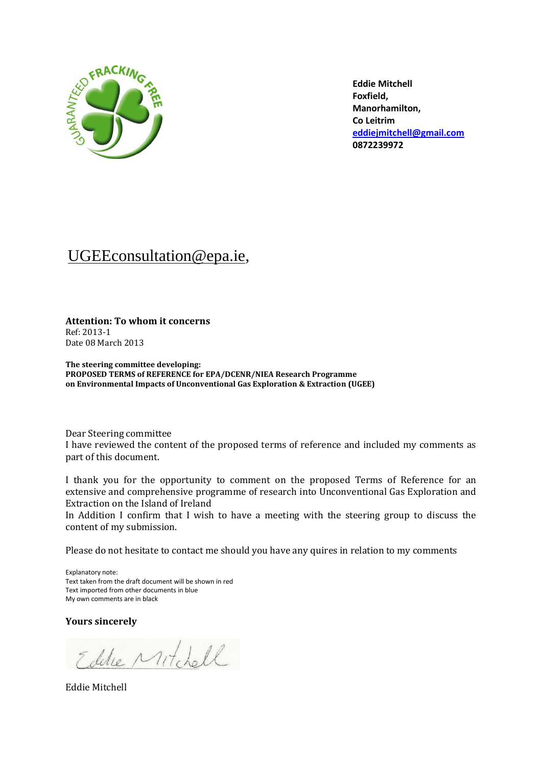

**Eddie Mitchell Foxfield, Manorhamilton, Co Leitrim [eddiejmitchell@gmail.com](mailto:eddiejmitchell@gmail.com) 0872239972**

# [UGEEconsultation@epa.ie,](mailto:UGEEconsultation@epa.ie)

**Attention: To whom it concerns** Ref: 2013-1 Date 08 March 2013

**The steering committee developing: PROPOSED TERMS of REFERENCE for EPA/DCENR/NIEA Research Programme on Environmental Impacts of Unconventional Gas Exploration & Extraction (UGEE)**

Dear Steering committee I have reviewed the content of the proposed terms of reference and included my comments as part of this document.

I thank you for the opportunity to comment on the proposed Terms of Reference for an extensive and comprehensive programme of research into Unconventional Gas Exploration and Extraction on the Island of Ireland

In Addition I confirm that I wish to have a meeting with the steering group to discuss the content of my submission.

Please do not hesitate to contact me should you have any quires in relation to my comments

Explanatory note: Text taken from the draft document will be shown in red Text imported from other documents in blue My own comments are in black

**Yours sincerely**

Eddie Mitchell

Eddie Mitchell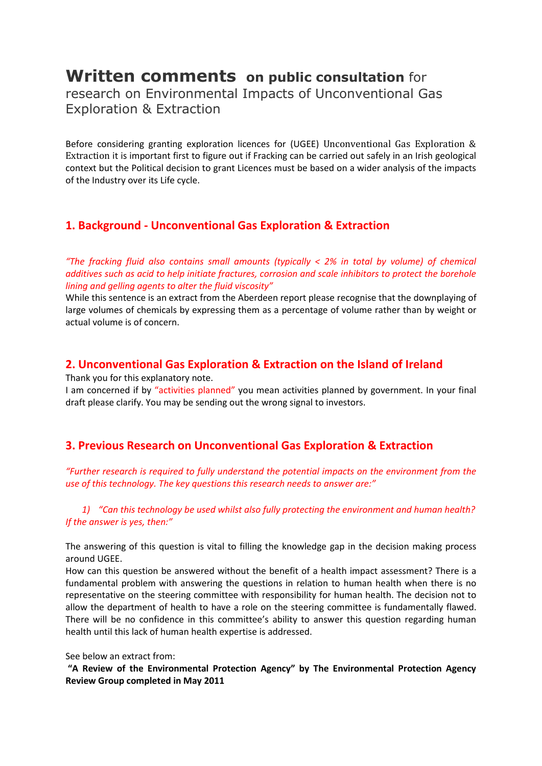# **Written comments on public consultation** for

research on Environmental Impacts of Unconventional Gas Exploration & Extraction

Before considering granting exploration licences for (UGEE) Unconventional Gas Exploration & Extraction it is important first to figure out if Fracking can be carried out safely in an Irish geological context but the Political decision to grant Licences must be based on a wider analysis of the impacts of the Industry over its Life cycle.

### **1. Background - Unconventional Gas Exploration & Extraction**

*"The fracking fluid also contains small amounts (typically < 2% in total by volume) of chemical additives such as acid to help initiate fractures, corrosion and scale inhibitors to protect the borehole lining and gelling agents to alter the fluid viscosity"*

While this sentence is an extract from the Aberdeen report please recognise that the downplaying of large volumes of chemicals by expressing them as a percentage of volume rather than by weight or actual volume is of concern.

### **2. Unconventional Gas Exploration & Extraction on the Island of Ireland**

Thank you for this explanatory note.

I am concerned if by "activities planned" you mean activities planned by government. In your final draft please clarify. You may be sending out the wrong signal to investors.

## **3. Previous Research on Unconventional Gas Exploration & Extraction**

*"Further research is required to fully understand the potential impacts on the environment from the use of this technology. The key questions this research needs to answer are:"*

*1) "Can this technology be used whilst also fully protecting the environment and human health? If the answer is yes, then:"*

The answering of this question is vital to filling the knowledge gap in the decision making process around UGEE.

How can this question be answered without the benefit of a health impact assessment? There is a fundamental problem with answering the questions in relation to human health when there is no representative on the steering committee with responsibility for human health. The decision not to allow the department of health to have a role on the steering committee is fundamentally flawed. There will be no confidence in this committee's ability to answer this question regarding human health until this lack of human health expertise is addressed.

See below an extract from:

**"A Review of the Environmental Protection Agency" by The Environmental Protection Agency Review Group completed in May 2011**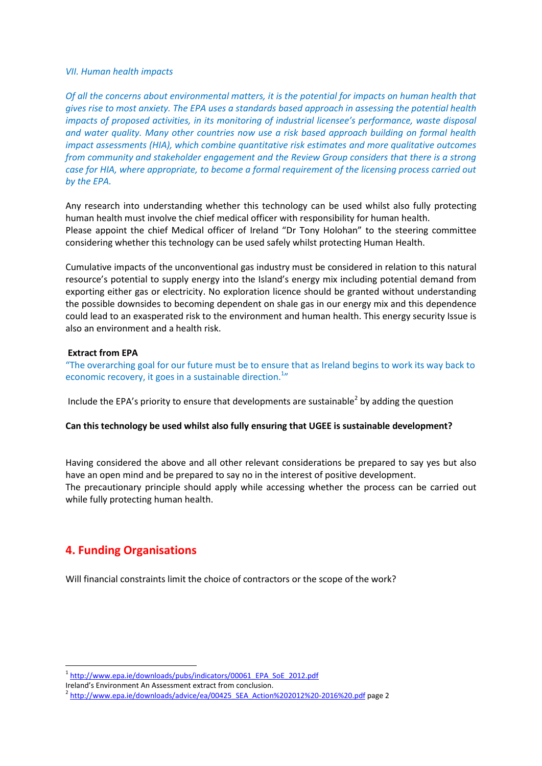#### *VII. Human health impacts*

*Of all the concerns about environmental matters, it is the potential for impacts on human health that gives rise to most anxiety. The EPA uses a standards based approach in assessing the potential health impacts of proposed activities, in its monitoring of industrial licensee's performance, waste disposal and water quality. Many other countries now use a risk based approach building on formal health impact assessments (HIA), which combine quantitative risk estimates and more qualitative outcomes from community and stakeholder engagement and the Review Group considers that there is a strong case for HIA, where appropriate, to become a formal requirement of the licensing process carried out by the EPA.*

Any research into understanding whether this technology can be used whilst also fully protecting human health must involve the chief medical officer with responsibility for human health. Please appoint the chief Medical officer of Ireland "Dr Tony Holohan" to the steering committee considering whether this technology can be used safely whilst protecting Human Health.

Cumulative impacts of the unconventional gas industry must be considered in relation to this natural resource's potential to supply energy into the Island's energy mix including potential demand from exporting either gas or electricity. No exploration licence should be granted without understanding the possible downsides to becoming dependent on shale gas in our energy mix and this dependence could lead to an exasperated risk to the environment and human health. This energy security Issue is also an environment and a health risk.

#### **Extract from EPA**

"The overarching goal for our future must be to ensure that as Ireland begins to work its way back to economic recovery, it goes in a sustainable direction.<sup>1</sup>"

Include the EPA's priority to ensure that developments are sustainable<sup>2</sup> by adding the question

#### **Can this technology be used whilst also fully ensuring that UGEE is sustainable development?**

Having considered the above and all other relevant considerations be prepared to say yes but also have an open mind and be prepared to say no in the interest of positive development. The precautionary principle should apply while accessing whether the process can be carried out while fully protecting human health.

## **4. Funding Organisations**

1

Will financial constraints limit the choice of contractors or the scope of the work?

<sup>&</sup>lt;sup>1</sup>[http://www.epa.ie/downloads/pubs/indicators/00061\\_EPA\\_SoE\\_2012.pdf](http://www.epa.ie/downloads/pubs/indicators/00061_EPA_SoE_2012.pdf)

Ireland's Environment An Assessment extract from conclusion.

<sup>&</sup>lt;sup>2</sup> [http://www.epa.ie/downloads/advice/ea/00425\\_SEA\\_Action%202012%20-2016%20.pdf](http://www.epa.ie/downloads/advice/ea/00425_SEA_Action%202012%20-2016%20.pdf) page 2